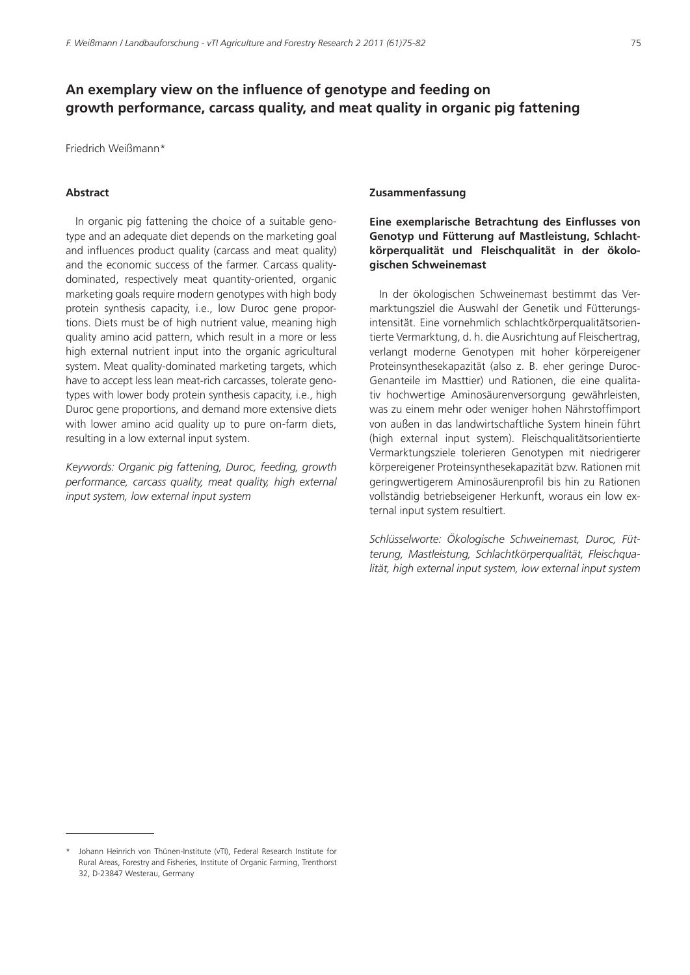# **An exemplary view on the influence of genotype and feeding on growth performance, carcass quality, and meat quality in organic pig fattening**

Friedrich Weißmann\*

### **Abstract**

In organic pig fattening the choice of a suitable genotype and an adequate diet depends on the marketing goal and influences product quality (carcass and meat quality) and the economic success of the farmer. Carcass qualitydominated, respectively meat quantity-oriented, organic marketing goals require modern genotypes with high body protein synthesis capacity, i.e., low Duroc gene proportions. Diets must be of high nutrient value, meaning high quality amino acid pattern, which result in a more or less high external nutrient input into the organic agricultural system. Meat quality-dominated marketing targets, which have to accept less lean meat-rich carcasses, tolerate genotypes with lower body protein synthesis capacity, i.e., high Duroc gene proportions, and demand more extensive diets with lower amino acid quality up to pure on-farm diets, resulting in a low external input system.

*Keywords: Organic pig fattening, Duroc, feeding, growth performance, carcass quality, meat quality, high external input system, low external input system*

#### **Zusammenfassung**

# **Eine exemplarische Betrachtung des Einflusses von Genotyp und Fütterung auf Mastleistung, Schlachtkörperqualität und Fleischqualität in der ökologischen Schweinemast**

In der ökologischen Schweinemast bestimmt das Vermarktungsziel die Auswahl der Genetik und Fütterungsintensität. Eine vornehmlich schlachtkörperqualitätsorientierte Vermarktung, d. h. die Ausrichtung auf Fleischertrag, verlangt moderne Genotypen mit hoher körpereigener Proteinsynthesekapazität (also z. B. eher geringe Duroc-Genanteile im Masttier) und Rationen, die eine qualitativ hochwertige Aminosäurenversorgung gewährleisten, was zu einem mehr oder weniger hohen Nährstoffimport von außen in das landwirtschaftliche System hinein führt (high external input system). Fleischqualitätsorientierte Vermarktungsziele tolerieren Genotypen mit niedrigerer körpereigener Proteinsynthesekapazität bzw. Rationen mit geringwertigerem Aminosäurenprofil bis hin zu Rationen vollständig betriebseigener Herkunft, woraus ein low external input system resultiert.

*Schlüsselworte: Ökologische Schweinemast, Duroc, Fütterung, Mastleistung, Schlachtkörperqualität, Fleischqualität, high external input system, low external input system*

Johann Heinrich von Thünen-Institute (vTI), Federal Research Institute for Rural Areas, Forestry and Fisheries, Institute of Organic Farming, Trenthorst 32, D-23847 Westerau, Germany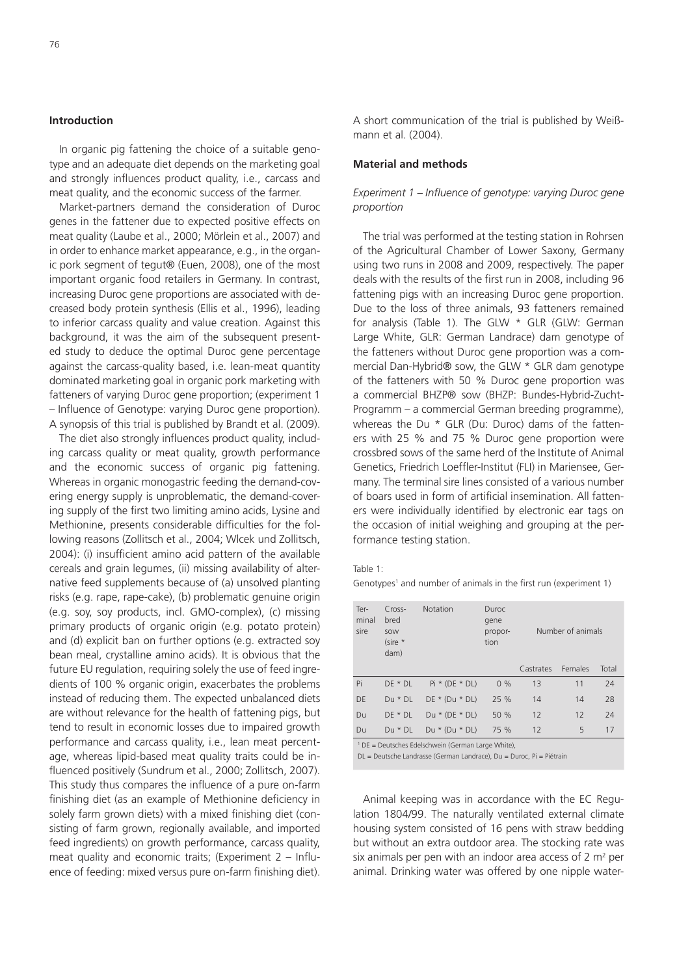### **Introduction**

In organic pig fattening the choice of a suitable genotype and an adequate diet depends on the marketing goal and strongly influences product quality, i.e., carcass and meat quality, and the economic success of the farmer.

Market-partners demand the consideration of Duroc genes in the fattener due to expected positive effects on meat quality (Laube et al., 2000; Mörlein et al., 2007) and in order to enhance market appearance, e.g., in the organic pork segment of tegut® (Euen, 2008), one of the most important organic food retailers in Germany. In contrast, increasing Duroc gene proportions are associated with decreased body protein synthesis (Ellis et al., 1996), leading to inferior carcass quality and value creation. Against this background, it was the aim of the subsequent presented study to deduce the optimal Duroc gene percentage against the carcass-quality based, i.e. lean-meat quantity dominated marketing goal in organic pork marketing with fatteners of varying Duroc gene proportion; (experiment 1 – Influence of Genotype: varying Duroc gene proportion). A synopsis of this trial is published by Brandt et al. (2009).

The diet also strongly influences product quality, including carcass quality or meat quality, growth performance and the economic success of organic pig fattening. Whereas in organic monogastric feeding the demand-covering energy supply is unproblematic, the demand-covering supply of the first two limiting amino acids, Lysine and Methionine, presents considerable difficulties for the following reasons (Zollitsch et al., 2004; Wlcek und Zollitsch, 2004): (i) insufficient amino acid pattern of the available cereals and grain legumes, (ii) missing availability of alternative feed supplements because of (a) unsolved planting risks (e.g. rape, rape-cake), (b) problematic genuine origin (e.g. soy, soy products, incl. GMO-complex), (c) missing primary products of organic origin (e.g. potato protein) and (d) explicit ban on further options (e.g. extracted soy bean meal, crystalline amino acids). It is obvious that the future EU regulation, requiring solely the use of feed ingredients of 100 % organic origin, exacerbates the problems instead of reducing them. The expected unbalanced diets are without relevance for the health of fattening pigs, but tend to result in economic losses due to impaired growth performance and carcass quality, i.e., lean meat percentage, whereas lipid-based meat quality traits could be influenced positively (Sundrum et al., 2000; Zollitsch, 2007). This study thus compares the influence of a pure on-farm finishing diet (as an example of Methionine deficiency in solely farm grown diets) with a mixed finishing diet (consisting of farm grown, regionally available, and imported feed ingredients) on growth performance, carcass quality, meat quality and economic traits; (Experiment 2 – Influence of feeding: mixed versus pure on-farm finishing diet).

A short communication of the trial is published by Weißmann et al. (2004).

#### **Material and methods**

### *Experiment 1 – Influence of genotype: varying Duroc gene proportion*

The trial was performed at the testing station in Rohrsen of the Agricultural Chamber of Lower Saxony, Germany using two runs in 2008 and 2009, respectively. The paper deals with the results of the first run in 2008, including 96 fattening pigs with an increasing Duroc gene proportion. Due to the loss of three animals, 93 fatteners remained for analysis (Table 1). The GLW \* GLR (GLW: German Large White, GLR: German Landrace) dam genotype of the fatteners without Duroc gene proportion was a commercial Dan-Hybrid® sow, the GLW \* GLR dam genotype of the fatteners with 50 % Duroc gene proportion was a commercial BHZP® sow (BHZP: Bundes-Hybrid-Zucht-Programm – a commercial German breeding programme), whereas the Du \* GLR (Du: Duroc) dams of the fatteners with 25 % and 75 % Duroc gene proportion were crossbred sows of the same herd of the Institute of Animal Genetics, Friedrich Loeffler-Institut (FLI) in Mariensee, Germany. The terminal sire lines consisted of a various number of boars used in form of artificial insemination. All fatteners were individually identified by electronic ear tags on the occasion of initial weighing and grouping at the performance testing station.

#### Table 1:

Genotypes<sup>1</sup> and number of animals in the first run (experiment 1)

| Ter-<br>minal<br>sire | $Cross-$<br>bred<br>SOW<br>$(sire *$<br>dam) | <b>Notation</b>  | Duroc<br>gene<br>propor-<br>tion | Number of animals |         |       |
|-----------------------|----------------------------------------------|------------------|----------------------------------|-------------------|---------|-------|
|                       |                                              |                  |                                  | Castrates         | Females | Total |
| Pi                    | $DE * DL$                                    | $Pi * (DE * DL)$ | $0\%$                            | 13                | 11      | 24    |
| DE                    | $Du * DL$                                    | $DE * (Du * DL)$ | 25 %                             | 14                | 14      | 28    |
| Du                    | $DE * DL$                                    | $Du * (DE * DL)$ | 50%                              | 12                | 12      | 24    |
| Du                    | $Du * DL$                                    | $Du * (Du * DL)$ | 75 %                             | 12                | 5       | 17    |

1 DE = Deutsches Edelschwein (German Large White),

DL = Deutsche Landrasse (German Landrace), Du = Duroc, Pi = Piétrain

Animal keeping was in accordance with the EC Regulation 1804/99. The naturally ventilated external climate housing system consisted of 16 pens with straw bedding but without an extra outdoor area. The stocking rate was six animals per pen with an indoor area access of 2  $m<sup>2</sup>$  per animal. Drinking water was offered by one nipple water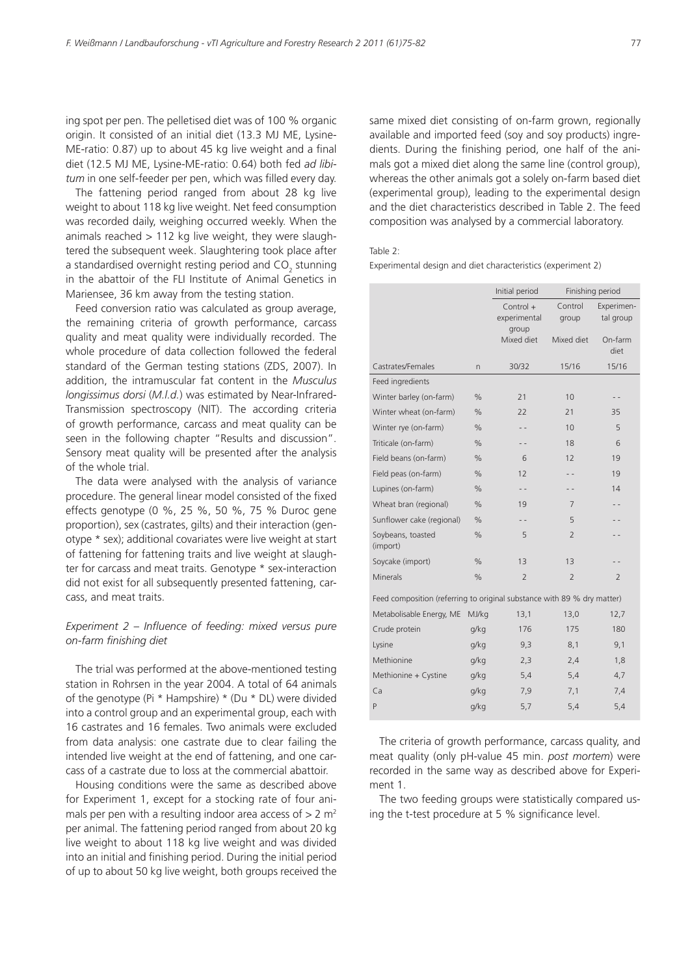ing spot per pen. The pelletised diet was of 100 % organic origin. It consisted of an initial diet (13.3 MJ ME, Lysine-ME-ratio: 0.87) up to about 45 kg live weight and a final diet (12.5 MJ ME, Lysine-ME-ratio: 0.64) both fed *ad libitum* in one self-feeder per pen, which was filled every day.

The fattening period ranged from about 28 kg live weight to about 118 kg live weight. Net feed consumption was recorded daily, weighing occurred weekly. When the animals reached  $> 112$  kg live weight, they were slaughtered the subsequent week. Slaughtering took place after a standardised overnight resting period and CO<sub>2</sub> stunning in the abattoir of the FLI Institute of Animal Genetics in Mariensee, 36 km away from the testing station.

Feed conversion ratio was calculated as group average, the remaining criteria of growth performance, carcass quality and meat quality were individually recorded. The whole procedure of data collection followed the federal standard of the German testing stations (ZDS, 2007). In addition, the intramuscular fat content in the *Musculus longissimus dorsi* (*M.l.d.*) was estimated by Near-Infrared-Transmission spectroscopy (NIT). The according criteria of growth performance, carcass and meat quality can be seen in the following chapter "Results and discussion". Sensory meat quality will be presented after the analysis of the whole trial.

The data were analysed with the analysis of variance procedure. The general linear model consisted of the fixed effects genotype (0 %, 25 %, 50 %, 75 % Duroc gene proportion), sex (castrates, gilts) and their interaction (genotype \* sex); additional covariates were live weight at start of fattening for fattening traits and live weight at slaughter for carcass and meat traits. Genotype \* sex-interaction did not exist for all subsequently presented fattening, carcass, and meat traits.

### *Experiment 2 – Influence of feeding: mixed versus pure on-farm finishing diet*

The trial was performed at the above-mentioned testing station in Rohrsen in the year 2004. A total of 64 animals of the genotype (Pi \* Hampshire) \* (Du \* DL) were divided into a control group and an experimental group, each with 16 castrates and 16 females. Two animals were excluded from data analysis: one castrate due to clear failing the intended live weight at the end of fattening, and one carcass of a castrate due to loss at the commercial abattoir.

Housing conditions were the same as described above for Experiment 1, except for a stocking rate of four animals per pen with a resulting indoor area access of  $> 2$  m<sup>2</sup> per animal. The fattening period ranged from about 20 kg live weight to about 118 kg live weight and was divided into an initial and finishing period. During the initial period of up to about 50 kg live weight, both groups received the

same mixed diet consisting of on-farm grown, regionally available and imported feed (soy and soy products) ingredients. During the finishing period, one half of the animals got a mixed diet along the same line (control group), whereas the other animals got a solely on-farm based diet (experimental group), leading to the experimental design and the diet characteristics described in Table 2. The feed composition was analysed by a commercial laboratory.

#### Table 2:

Experimental design and diet characteristics (experiment 2)

|                                                                         |               | Initial period                       |                  | Finishing period        |  |
|-------------------------------------------------------------------------|---------------|--------------------------------------|------------------|-------------------------|--|
|                                                                         |               | $Control +$<br>experimental<br>group | Control<br>group | Experimen-<br>tal group |  |
|                                                                         |               | Mixed diet                           | Mixed diet       | On-farm<br>diet         |  |
| Castrates/Females                                                       | n             | 30/32                                | 15/16            | 15/16                   |  |
| Feed ingredients                                                        |               |                                      |                  |                         |  |
| Winter barley (on-farm)                                                 | $\%$          | 21                                   | 10               |                         |  |
| Winter wheat (on-farm)                                                  | $\%$          | 22                                   | 21               | 35                      |  |
| Winter rye (on-farm)                                                    | $\%$          | $-$                                  | 10               | 5                       |  |
| Triticale (on-farm)                                                     | $\%$          | $-$                                  | 18               | 6                       |  |
| Field beans (on-farm)                                                   | $\%$          | 6                                    | 12               | 19                      |  |
| Field peas (on-farm)                                                    | $\frac{0}{0}$ | 12                                   |                  | 19                      |  |
| Lupines (on-farm)                                                       | $\%$          | $ -$                                 | - -              | 14                      |  |
| Wheat bran (regional)                                                   | $\%$          | 19                                   | 7                |                         |  |
| Sunflower cake (regional)                                               | $\%$          |                                      | 5                |                         |  |
| Soybeans, toasted<br>(import)                                           | $\%$          | 5                                    | $\overline{2}$   |                         |  |
| Soycake (import)                                                        | $\%$          | 13                                   | 13               |                         |  |
| Minerals                                                                | $\%$          | $\overline{2}$                       | $\overline{2}$   | $\overline{2}$          |  |
| Feed composition (referring to original substance with 89 % dry matter) |               |                                      |                  |                         |  |
| Metabolisable Energy, ME                                                | MJ/kg         | 13,1                                 | 13,0             | 12,7                    |  |
| Crude protein                                                           | g/kg          | 176                                  | 175              | 180                     |  |
| Lysine                                                                  | g/kg          | 9,3                                  | 8,1              | 9,1                     |  |
| Methionine                                                              | g/kg          | 2,3                                  | 2,4              | 1,8                     |  |
| Methionine + Cystine                                                    | g/kg          | 5,4                                  | 5,4              | 4,7                     |  |
| Ca                                                                      | g/kg          | 7,9                                  | 7,1              | 7,4                     |  |
| P                                                                       | g/kg          | 5,7                                  | 5,4              | 5,4                     |  |
|                                                                         |               |                                      |                  |                         |  |

The criteria of growth performance, carcass quality, and meat quality (only pH-value 45 min. *post mortem*) were recorded in the same way as described above for Experiment 1.

The two feeding groups were statistically compared using the t-test procedure at 5 % significance level.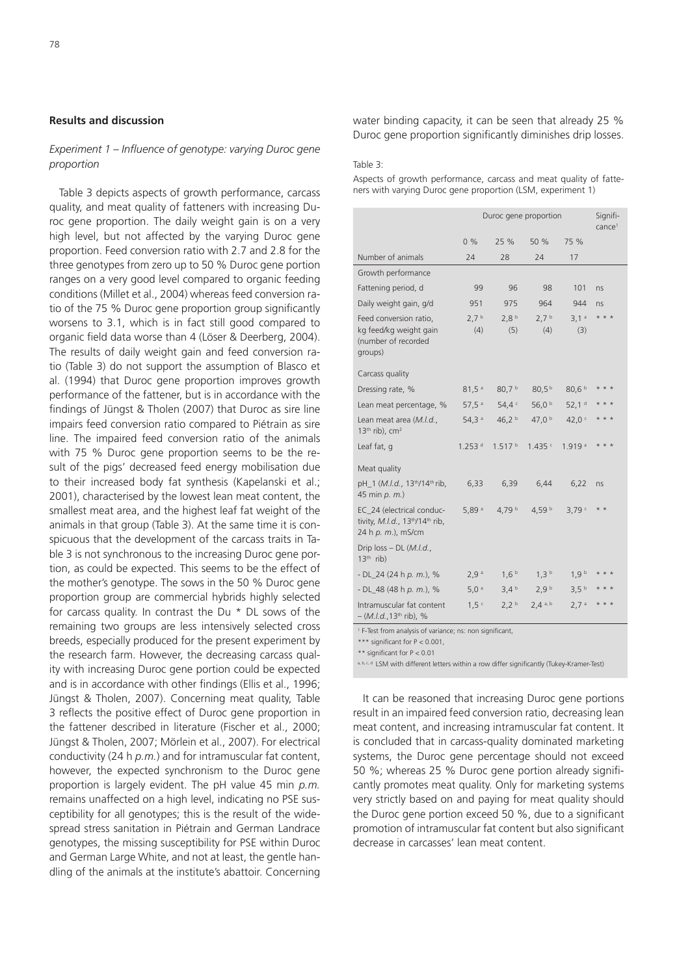#### **Results and discussion**

### *Experiment 1 – Influence of genotype: varying Duroc gene proportion*

Table 3 depicts aspects of growth performance, carcass quality, and meat quality of fatteners with increasing Duroc gene proportion. The daily weight gain is on a very high level, but not affected by the varying Duroc gene proportion. Feed conversion ratio with 2.7 and 2.8 for the three genotypes from zero up to 50 % Duroc gene portion ranges on a very good level compared to organic feeding conditions (Millet et al., 2004) whereas feed conversion ratio of the 75 % Duroc gene proportion group significantly worsens to 3.1, which is in fact still good compared to organic field data worse than 4 (Löser & Deerberg, 2004). The results of daily weight gain and feed conversion ratio (Table 3) do not support the assumption of Blasco et al. (1994) that Duroc gene proportion improves growth performance of the fattener, but is in accordance with the findings of Jüngst & Tholen (2007) that Duroc as sire line impairs feed conversion ratio compared to Piétrain as sire line. The impaired feed conversion ratio of the animals with 75 % Duroc gene proportion seems to be the result of the pigs' decreased feed energy mobilisation due to their increased body fat synthesis (Kapelanski et al.; 2001), characterised by the lowest lean meat content, the smallest meat area, and the highest leaf fat weight of the animals in that group (Table 3). At the same time it is conspicuous that the development of the carcass traits in Table 3 is not synchronous to the increasing Duroc gene portion, as could be expected. This seems to be the effect of the mother's genotype. The sows in the 50 % Duroc gene proportion group are commercial hybrids highly selected for carcass quality. In contrast the Du \* DL sows of the remaining two groups are less intensively selected cross breeds, especially produced for the present experiment by the research farm. However, the decreasing carcass quality with increasing Duroc gene portion could be expected and is in accordance with other findings (Ellis et al., 1996; Jüngst & Tholen, 2007). Concerning meat quality, Table 3 reflects the positive effect of Duroc gene proportion in the fattener described in literature (Fischer et al., 2000; Jüngst & Tholen, 2007; Mörlein et al., 2007). For electrical conductivity (24 h *p.m.*) and for intramuscular fat content, however, the expected synchronism to the Duroc gene proportion is largely evident. The pH value 45 min *p.m.* remains unaffected on a high level, indicating no PSE susceptibility for all genotypes; this is the result of the widespread stress sanitation in Piétrain and German Landrace genotypes, the missing susceptibility for PSE within Duroc and German Large White, and not at least, the gentle handling of the animals at the institute's abattoir. Concerning

water binding capacity, it can be seen that already 25 % Duroc gene proportion significantly diminishes drip losses.

#### Table 3:

Aspects of growth performance, carcass and meat quality of fatteners with varying Duroc gene proportion (LSM, experiment 1)

|                                                                                    | Duroc gene proportion   |                         |                         |                         | Signifi- |
|------------------------------------------------------------------------------------|-------------------------|-------------------------|-------------------------|-------------------------|----------|
|                                                                                    |                         |                         |                         | $c$ ance <sup>1</sup>   |          |
|                                                                                    | 0%                      | 25 %                    | 50 %                    | 75 %                    |          |
| Number of animals                                                                  | 24                      | 28                      | 24                      | 17                      |          |
| Growth performance                                                                 |                         |                         |                         |                         |          |
| Fattening period, d                                                                | 99                      | 96                      | 98                      | 101                     | ns       |
| Daily weight gain, g/d                                                             | 951                     | 975                     | 964                     | 944                     | ns       |
| Feed conversion ratio,<br>kg feed/kg weight gain<br>(number of recorded<br>groups) | 2.7 <sup>b</sup><br>(4) | 2.8 <sup>b</sup><br>(5) | 2.7 <sup>b</sup><br>(4) | 3.1 <sup>a</sup><br>(3) | * * *    |
| Carcass quality                                                                    |                         |                         |                         |                         |          |
| Dressing rate, %                                                                   | 81,5 <sup>a</sup>       | 80,7 b                  | 80,5 <sup>b</sup>       | 80,6 <sup>b</sup>       | * * *    |
| Lean meat percentage, %                                                            | 57,5 <sup>a</sup>       | 54,4°                   | 56,0 <sup>b</sup>       | 52,1 <sup>d</sup>       | * * *    |
| Lean meat area (M.l.d.,<br>13 <sup>th</sup> rib), cm <sup>2</sup>                  | 54,3a                   | 46,2 $b$                | 47.0 <sup>b</sup>       | 42,0 $C$                | * * *    |
| Leaf fat, g                                                                        | $1.253$ <sup>d</sup>    | 1.517 <sup>b</sup>      | 1.435c                  | 1.919a                  | * * *    |
| Meat quality                                                                       |                         |                         |                         |                         |          |
| pH 1 (M.l.d., 13 <sup>th</sup> /14 <sup>th</sup> rib,<br>45 min p. m.)             | 6,33                    | 6,39                    | 6,44                    | 6,22                    | ns       |
| EC_24 (electrical conduc-<br>tivity, M.I.d., 13th/14th rib,<br>24 h p. m.), mS/cm  | 5.89a                   | 4,79 <sup>b</sup>       | 4,59 $b$                | 3.79c                   | $* *$    |
| Drip $loss - DL$ ( <i>M.l.d.</i> ,<br>$13th$ rib)                                  |                         |                         |                         |                         |          |
| $-DL_24$ (24 h p. m.), %                                                           | 2,9 <sup>a</sup>        | 1,6 <sup>b</sup>        | 1,3 <sup>b</sup>        | 1,9 <sup>b</sup>        | * * *    |
| - DL 48 (48 h p. m.), %                                                            | $5,0^a$                 | 3,4 <sup>b</sup>        | 2,9 <sup>b</sup>        | 3,5 <sup>b</sup>        | * * *    |
| Intramuscular fat content<br>$- (M.I.d., 13th rib), %$                             | 1,5                     | 2,2 <sup>b</sup>        | $2.4a$ , b              | 2.7 <sup>a</sup>        | * * *    |

1 F-Test from analysis of variance; ns: non significant,

\*\*\* significant for P < 0.001,

\*\* significant for P < 0.01

a, b, c, d LSM with different letters within a row differ significantly (Tukey-Kramer-Test)

It can be reasoned that increasing Duroc gene portions result in an impaired feed conversion ratio, decreasing lean meat content, and increasing intramuscular fat content. It is concluded that in carcass-quality dominated marketing systems, the Duroc gene percentage should not exceed 50 %; whereas 25 % Duroc gene portion already significantly promotes meat quality. Only for marketing systems very strictly based on and paying for meat quality should the Duroc gene portion exceed 50 %, due to a significant promotion of intramuscular fat content but also significant decrease in carcasses' lean meat content.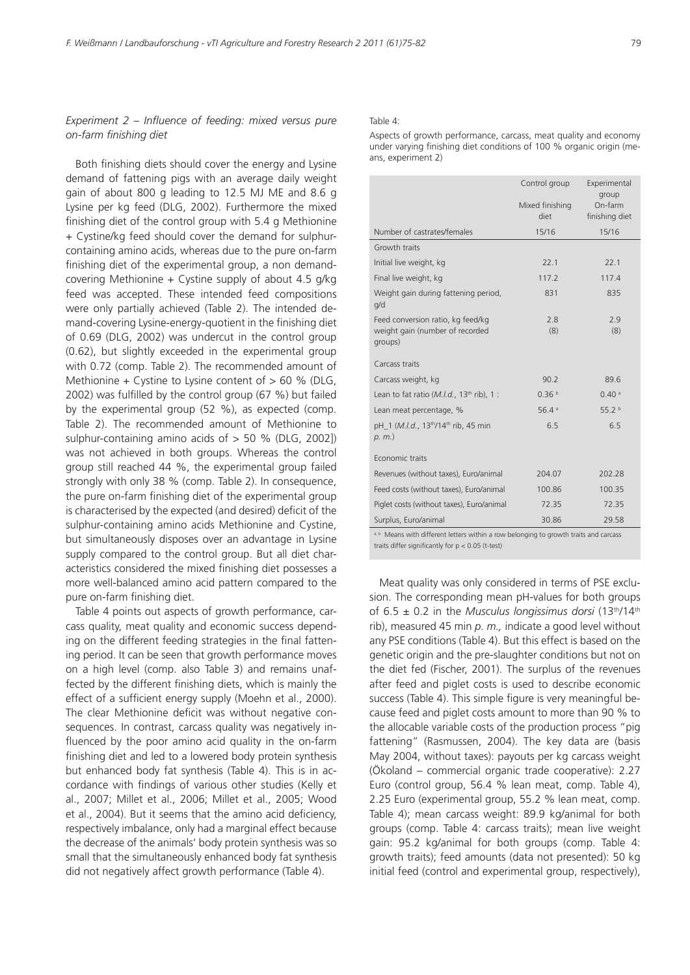### *Experiment 2 – Influence of feeding: mixed versus pure on-farm finishing diet*

Both finishing diets should cover the energy and Lysine demand of fattening pigs with an average daily weight gain of about 800 g leading to 12.5 MJ ME and 8.6 g Lysine per kg feed (DLG, 2002). Furthermore the mixed finishing diet of the control group with 5.4 g Methionine + Cystine/kg feed should cover the demand for sulphurcontaining amino acids, whereas due to the pure on-farm finishing diet of the experimental group, a non demandcovering Methionine + Cystine supply of about 4.5 g/kg feed was accepted. These intended feed compositions were only partially achieved (Table 2). The intended demand-covering Lysine-energy-quotient in the finishing diet of 0.69 (DLG, 2002) was undercut in the control group (0.62), but slightly exceeded in the experimental group with 0.72 (comp. Table 2). The recommended amount of Methionine + Cystine to Lysine content of  $> 60$  % (DLG, 2002) was fulfilled by the control group (67 %) but failed by the experimental group (52 %), as expected (comp. Table 2). The recommended amount of Methionine to sulphur-containing amino acids of  $> 50$  % (DLG, 2002)) was not achieved in both groups. Whereas the control group still reached 44 %, the experimental group failed strongly with only 38 % (comp. Table 2). In consequence, the pure on-farm finishing diet of the experimental group is characterised by the expected (and desired) deficit of the sulphur-containing amino acids Methionine and Cystine, but simultaneously disposes over an advantage in Lysine supply compared to the control group. But all diet characteristics considered the mixed finishing diet possesses a more well-balanced amino acid pattern compared to the pure on-farm finishing diet.

Table 4 points out aspects of growth performance, carcass quality, meat quality and economic success depending on the different feeding strategies in the final fattening period. It can be seen that growth performance moves on a high level (comp. also Table 3) and remains unaffected by the different finishing diets, which is mainly the effect of a sufficient energy supply (Moehn et al., 2000). The clear Methionine deficit was without negative consequences. In contrast, carcass quality was negatively influenced by the poor amino acid quality in the on-farm finishing diet and led to a lowered body protein synthesis but enhanced body fat synthesis (Table 4). This is in accordance with findings of various other studies (Kelly et al., 2007; Millet et al., 2006; Millet et al., 2005; Wood et al., 2004). But it seems that the amino acid deficiency, respectively imbalance, only had a marginal effect because the decrease of the animals' body protein synthesis was so small that the simultaneously enhanced body fat synthesis did not negatively affect growth performance (Table 4).

#### Table 4:

Aspects of growth performance, carcass, meat quality and economy under varying finishing diet conditions of 100 % organic origin (means, experiment 2)

|                                                                                                     | Control group<br>Mixed finishing<br>diet | Experimental<br>group<br>On-farm<br>finishing diet |
|-----------------------------------------------------------------------------------------------------|------------------------------------------|----------------------------------------------------|
| Number of castrates/females                                                                         | 15/16                                    | 15/16                                              |
| Growth traits                                                                                       |                                          |                                                    |
| Initial live weight, kg                                                                             | 22.1                                     | 22.1                                               |
| Final live weight, kg                                                                               | 117.2                                    | 117.4                                              |
| Weight gain during fattening period,<br>q/d                                                         | 831                                      | 835                                                |
| Feed conversion ratio, kg feed/kg<br>weight gain (number of recorded<br>groups)                     | 2.8<br>(8)                               | 2.9<br>(8)                                         |
| Carcass traits                                                                                      |                                          |                                                    |
| Carcass weight, kg                                                                                  | 90.2                                     | 89.6                                               |
| Lean to fat ratio $(M.I.d., 13th rib), 1$ :                                                         | 0.36 <sup>b</sup>                        | 0.40a                                              |
| Lean meat percentage, %                                                                             | 56.4a                                    | 55.2 <sup>b</sup>                                  |
| pH 1 (M.l.d., 13 <sup>th</sup> /14 <sup>th</sup> rib, 45 min<br>$p. m.$ )                           | 6.5                                      | 6.5                                                |
| Economic traits                                                                                     |                                          |                                                    |
| Revenues (without taxes), Euro/animal                                                               | 204.07                                   | 202.28                                             |
| Feed costs (without taxes), Euro/animal                                                             | 100.86                                   | 100.35                                             |
| Piglet costs (without taxes), Euro/animal                                                           | 72.35                                    | 72.35                                              |
| Surplus, Euro/animal                                                                                | 30.86                                    | 29.58                                              |
| a hii Marana cedah i differensa taasana cedah berta mereka bertama dan menceda angkarang di mengena |                                          |                                                    |

pelonging to growth traits and o traits differ significantly for p < 0.05 (t-test)

Meat quality was only considered in terms of PSE exclusion. The corresponding mean pH-values for both groups of 6.5 ± 0.2 in the *Musculus longissimus dorsi* (13th/14th rib), measured 45 min *p. m.,* indicate a good level without any PSE conditions (Table 4). But this effect is based on the genetic origin and the pre-slaughter conditions but not on the diet fed (Fischer, 2001). The surplus of the revenues after feed and piglet costs is used to describe economic success (Table 4). This simple figure is very meaningful because feed and piglet costs amount to more than 90 % to the allocable variable costs of the production process "pig fattening" (Rasmussen, 2004). The key data are (basis May 2004, without taxes): payouts per kg carcass weight (Ökoland – commercial organic trade cooperative): 2.27 Euro (control group, 56.4 % lean meat, comp. Table 4), 2.25 Euro (experimental group, 55.2 % lean meat, comp. Table 4); mean carcass weight: 89.9 kg/animal for both groups (comp. Table 4: carcass traits); mean live weight gain: 95.2 kg/animal for both groups (comp. Table 4: growth traits); feed amounts (data not presented): 50 kg initial feed (control and experimental group, respectively),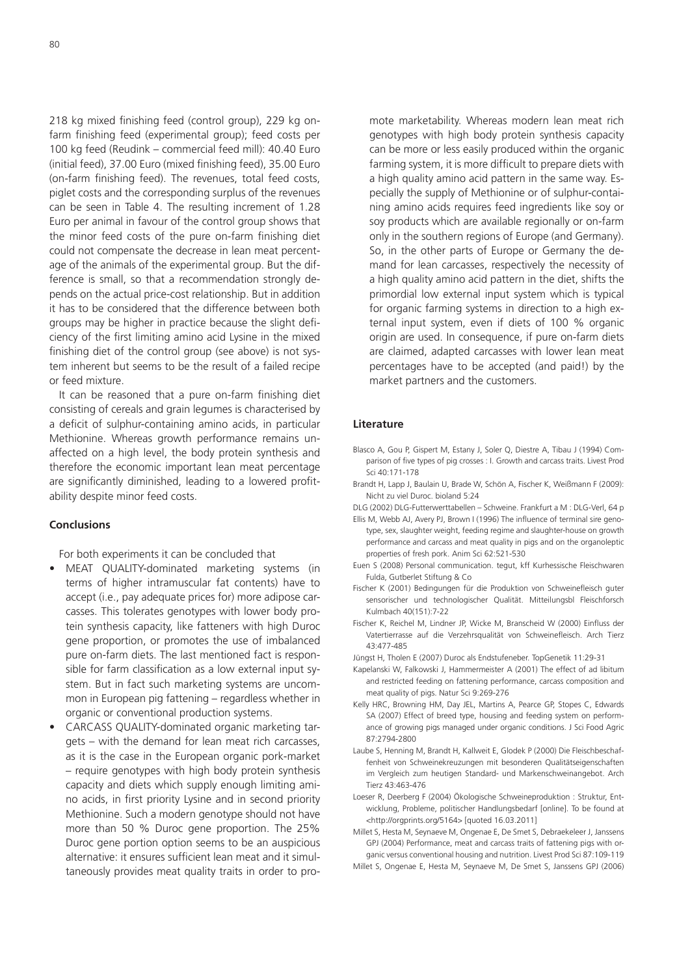218 kg mixed finishing feed (control group), 229 kg onfarm finishing feed (experimental group); feed costs per 100 kg feed (Reudink – commercial feed mill): 40.40 Euro (initial feed), 37.00 Euro (mixed finishing feed), 35.00 Euro (on-farm finishing feed). The revenues, total feed costs, piglet costs and the corresponding surplus of the revenues can be seen in Table 4. The resulting increment of 1.28 Euro per animal in favour of the control group shows that the minor feed costs of the pure on-farm finishing diet could not compensate the decrease in lean meat percentage of the animals of the experimental group. But the difference is small, so that a recommendation strongly depends on the actual price-cost relationship. But in addition it has to be considered that the difference between both groups may be higher in practice because the slight deficiency of the first limiting amino acid Lysine in the mixed finishing diet of the control group (see above) is not system inherent but seems to be the result of a failed recipe or feed mixture.

It can be reasoned that a pure on-farm finishing diet consisting of cereals and grain legumes is characterised by a deficit of sulphur-containing amino acids, in particular Methionine. Whereas growth performance remains unaffected on a high level, the body protein synthesis and therefore the economic important lean meat percentage are significantly diminished, leading to a lowered profitability despite minor feed costs.

## **Conclusions**

For both experiments it can be concluded that

- MEAT QUALITY-dominated marketing systems (in terms of higher intramuscular fat contents) have to accept (i.e., pay adequate prices for) more adipose carcasses. This tolerates genotypes with lower body protein synthesis capacity, like fatteners with high Duroc gene proportion, or promotes the use of imbalanced pure on-farm diets. The last mentioned fact is responsible for farm classification as a low external input system. But in fact such marketing systems are uncommon in European pig fattening – regardless whether in organic or conventional production systems.
- CARCASS QUALITY-dominated organic marketing targets – with the demand for lean meat rich carcasses, as it is the case in the European organic pork-market – require genotypes with high body protein synthesis capacity and diets which supply enough limiting amino acids, in first priority Lysine and in second priority Methionine. Such a modern genotype should not have more than 50 % Duroc gene proportion. The 25% Duroc gene portion option seems to be an auspicious alternative: it ensures sufficient lean meat and it simultaneously provides meat quality traits in order to pro-

mote marketability. Whereas modern lean meat rich genotypes with high body protein synthesis capacity can be more or less easily produced within the organic farming system, it is more difficult to prepare diets with a high quality amino acid pattern in the same way. Especially the supply of Methionine or of sulphur-containing amino acids requires feed ingredients like soy or soy products which are available regionally or on-farm only in the southern regions of Europe (and Germany). So, in the other parts of Europe or Germany the demand for lean carcasses, respectively the necessity of a high quality amino acid pattern in the diet, shifts the primordial low external input system which is typical for organic farming systems in direction to a high external input system, even if diets of 100 % organic origin are used. In consequence, if pure on-farm diets are claimed, adapted carcasses with lower lean meat percentages have to be accepted (and paid!) by the market partners and the customers.

#### **Literature**

- Blasco A, Gou P, Gispert M, Estany J, Soler Q, Diestre A, Tibau J (1994) Comparison of five types of pig crosses : I. Growth and carcass traits. Livest Prod Sci 40:171-178
- Brandt H, Lapp J, Baulain U, Brade W, Schön A, Fischer K, Weißmann F (2009): Nicht zu viel Duroc. bioland 5:24

DLG (2002) DLG-Futterwerttabellen – Schweine. Frankfurt a M : DLG-Verl, 64 p

- Ellis M, Webb AJ, Avery PJ, Brown I (1996) The influence of terminal sire genotype, sex, slaughter weight, feeding regime and slaughter-house on growth performance and carcass and meat quality in pigs and on the organoleptic properties of fresh pork. Anim Sci 62:521-530
- Euen S (2008) Personal communication. tegut, kff Kurhessische Fleischwaren Fulda, Gutberlet Stiftung & Co
- Fischer K (2001) Bedingungen für die Produktion von Schweinefleisch guter sensorischer und technologischer Qualität. Mitteilungsbl Fleischforsch Kulmbach 40(151):7-22
- Fischer K, Reichel M, Lindner JP, Wicke M, Branscheid W (2000) Einfluss der Vatertierrasse auf die Verzehrsqualität von Schweinefleisch. Arch Tierz 43:477-485
- Jüngst H, Tholen E (2007) Duroc als Endstufeneber. TopGenetik 11:29-31
- Kapelanski W, Falkowski J, Hammermeister A (2001) The effect of ad libitum and restricted feeding on fattening performance, carcass composition and meat quality of pigs. Natur Sci 9:269-276
- Kelly HRC, Browning HM, Day JEL, Martins A, Pearce GP, Stopes C, Edwards SA (2007) Effect of breed type, housing and feeding system on performance of growing pigs managed under organic conditions. J Sci Food Agric 87:2794-2800
- Laube S, Henning M, Brandt H, Kallweit E, Glodek P (2000) Die Fleischbeschaffenheit von Schweinekreuzungen mit besonderen Qualitätseigenschaften im Vergleich zum heutigen Standard- und Markenschweinangebot. Arch Tierz 43:463-476
- Loeser R, Deerberg F (2004) Ökologische Schweineproduktion : Struktur, Entwicklung, Probleme, politischer Handlungsbedarf [online]. To be found at [<http://orgprints.org/5164> \[q](http://orgprints.org/5164)uoted 16.03.2011]
- Millet S, Hesta M, Seynaeve M, Ongenae E, De Smet S, Debraekeleer J, Janssens GPJ (2004) Performance, meat and carcass traits of fattening pigs with organic versus conventional housing and nutrition. Livest Prod Sci 87:109-119
- Millet S, Ongenae E, Hesta M, Seynaeve M, De Smet S, Janssens GPJ (2006)